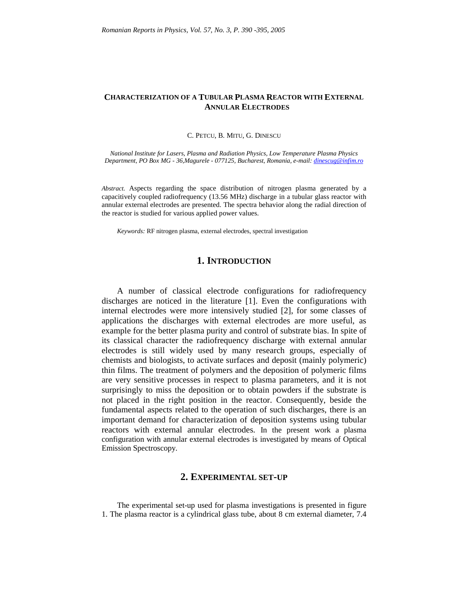#### **CHARACTERIZATION OF A TUBULAR PLASMA REACTOR WITH EXTERNAL ANNULAR ELECTRODES**

C. PETCU, B. MITU, G. DINESCU

*National Institute for Lasers, Plasma and Radiation Physics, Low Temperature Plasma Physics Department, PO Box MG - 36,Magurele - 077125, Bucharest, Romania, e-mail: dinescug@infim.ro*

*Abstract.* Aspects regarding the space distribution of nitrogen plasma generated by a capacitively coupled radiofrequency (13.56 MHz) discharge in a tubular glass reactor with annular external electrodes are presented. The spectra behavior along the radial direction of the reactor is studied for various applied power values.

*Keywords:* RF nitrogen plasma, external electrodes, spectral investigation

## **1. INTRODUCTION**

A number of classical electrode configurations for radiofrequency discharges are noticed in the literature [1]. Even the configurations with internal electrodes were more intensively studied [2], for some classes of applications the discharges with external electrodes are more useful, as example for the better plasma purity and control of substrate bias. In spite of its classical character the radiofrequency discharge with external annular electrodes is still widely used by many research groups, especially of chemists and biologists, to activate surfaces and deposit (mainly polymeric) thin films. The treatment of polymers and the deposition of polymeric films are very sensitive processes in respect to plasma parameters, and it is not surprisingly to miss the deposition or to obtain powders if the substrate is not placed in the right position in the reactor. Consequently, beside the fundamental aspects related to the operation of such discharges, there is an important demand for characterization of deposition systems using tubular reactors with external annular electrodes. In the present work a plasma configuration with annular external electrodes is investigated by means of Optical Emission Spectroscopy.

# **2. EXPERIMENTAL SET-UP**

The experimental set-up used for plasma investigations is presented in figure 1. The plasma reactor is a cylindrical glass tube, about 8 cm external diameter, 7.4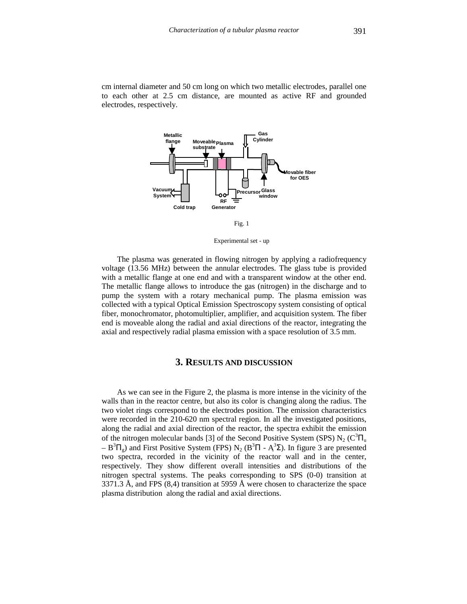cm internal diameter and 50 cm long on which two metallic electrodes, parallel one to each other at 2.5 cm distance, are mounted as active RF and grounded electrodes, respectively.



Fig. 1

Experimental set - up

The plasma was generated in flowing nitrogen by applying a radiofrequency voltage (13.56 MHz) between the annular electrodes. The glass tube is provided with a metallic flange at one end and with a transparent window at the other end. The metallic flange allows to introduce the gas (nitrogen) in the discharge and to pump the system with a rotary mechanical pump. The plasma emission was collected with a typical Optical Emission Spectroscopy system consisting of optical fiber, monochromator, photomultiplier, amplifier, and acquisition system. The fiber end is moveable along the radial and axial directions of the reactor, integrating the axial and respectively radial plasma emission with a space resolution of 3.5 mm.

#### **3. RESULTS AND DISCUSSION**

As we can see in the Figure 2, the plasma is more intense in the vicinity of the walls than in the reactor centre, but also its color is changing along the radius. The two violet rings correspond to the electrodes position. The emission characteristics were recorded in the 210-620 nm spectral region. In all the investigated positions, along the radial and axial direction of the reactor, the spectra exhibit the emission of the nitrogen molecular bands [3] of the Second Positive System (SPS)  $N_2$  (C<sup>3</sup> $\Pi_u$  $- B^{3} \Pi_{g}$ ) and First Positive System (FPS) N<sub>2</sub> (B<sup>3</sup> $\Pi$  - A<sup>3</sup> $\Sigma$ ). In figure 3 are presented two spectra, recorded in the vicinity of the reactor wall and in the center, respectively. They show different overall intensities and distributions of the nitrogen spectral systems. The peaks corresponding to SPS (0-0) transition at 3371.3 Å, and FPS (8,4) transition at 5959 Å were chosen to characterize the space plasma distribution along the radial and axial directions.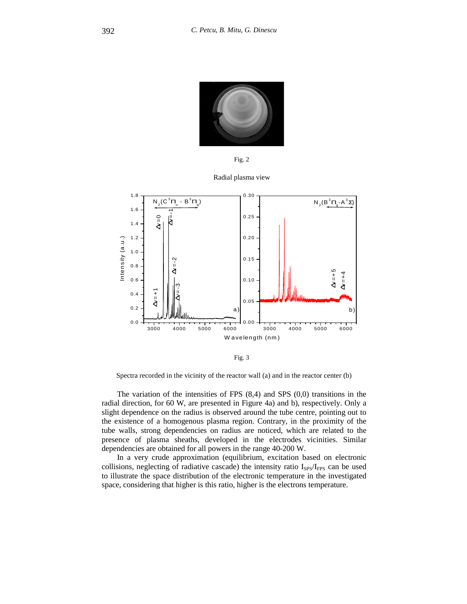

Fig. 2

Radial plasma view



Fig. 3

Spectra recorded in the vicinity of the reactor wall (a) and in the reactor center (b)

The variation of the intensities of FPS (8,4) and SPS (0,0) transitions in the radial direction, for 60 W, are presented in Figure 4a) and b), respectively. Only a slight dependence on the radius is observed around the tube centre, pointing out to the existence of a homogenous plasma region. Contrary, in the proximity of the tube walls, strong dependencies on radius are noticed, which are related to the presence of plasma sheaths, developed in the electrodes vicinities. Similar dependencies are obtained for all powers in the range 40-200 W.

In a very crude approximation (equilibrium, excitation based on electronic collisions, neglecting of radiative cascade) the intensity ratio  $I_{SPS}/I_{FPS}$  can be used to illustrate the space distribution of the electronic temperature in the investigated space, considering that higher is this ratio, higher is the electrons temperature.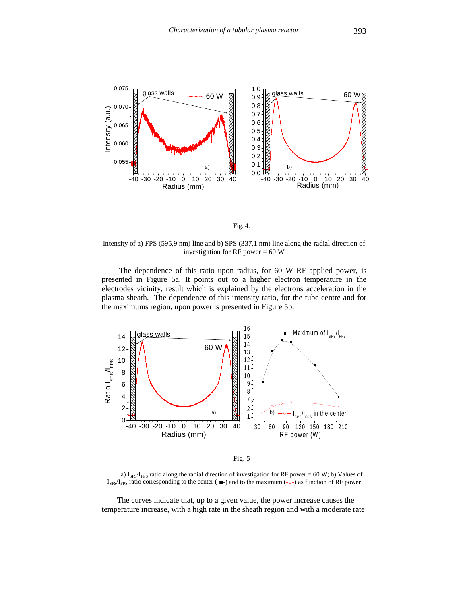



Intensity of a) FPS (595,9 nm) line and b) SPS (337,1 nm) line along the radial direction of investigation for RF power  $= 60 W$ 

The dependence of this ratio upon radius, for 60 W RF applied power, is presented in Figure 5a. It points out to a higher electron temperature in the electrodes vicinity, result which is explained by the electrons acceleration in the plasma sheath. The dependence of this intensity ratio, for the tube centre and for the maximums region, upon power is presented in Figure 5b.





a) I<sub>SPS</sub>/I<sub>FPS</sub> ratio along the radial direction of investigation for RF power = 60 W; b) Values of  $I_{SPS}/I_{FPS}$  ratio corresponding to the center (- $\blacksquare$ ) and to the maximum (- $\circ$ -) as function of RF power

The curves indicate that, up to a given value, the power increase causes the temperature increase, with a high rate in the sheath region and with a moderate rate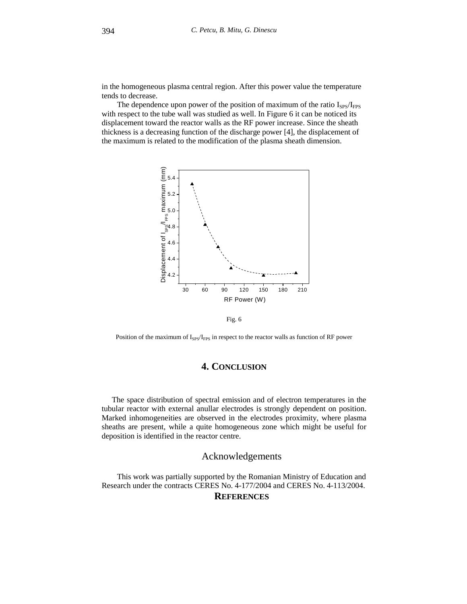in the homogeneous plasma central region. After this power value the temperature tends to decrease.

The dependence upon power of the position of maximum of the ratio  $I_{SPS}/I_{FPS}$ with respect to the tube wall was studied as well. In Figure 6 it can be noticed its displacement toward the reactor walls as the RF power increase. Since the sheath thickness is a decreasing function of the discharge power [4], the displacement of the maximum is related to the modification of the plasma sheath dimension.



Fig. 6

Position of the maximum of I<sub>SPS</sub>/I<sub>FPS</sub> in respect to the reactor walls as function of RF power

# **4. CONCLUSION**

The space distribution of spectral emission and of electron temperatures in the tubular reactor with external anullar electrodes is strongly dependent on position. Marked inhomogeneities are observed in the electrodes proximity, where plasma sheaths are present, while a quite homogeneous zone which might be useful for deposition is identified in the reactor centre.

## Acknowledgements

This work was partially supported by the Romanian Ministry of Education and Research under the contracts CERES No. 4-177/2004 and CERES No. 4-113/2004. **REFERENCES**